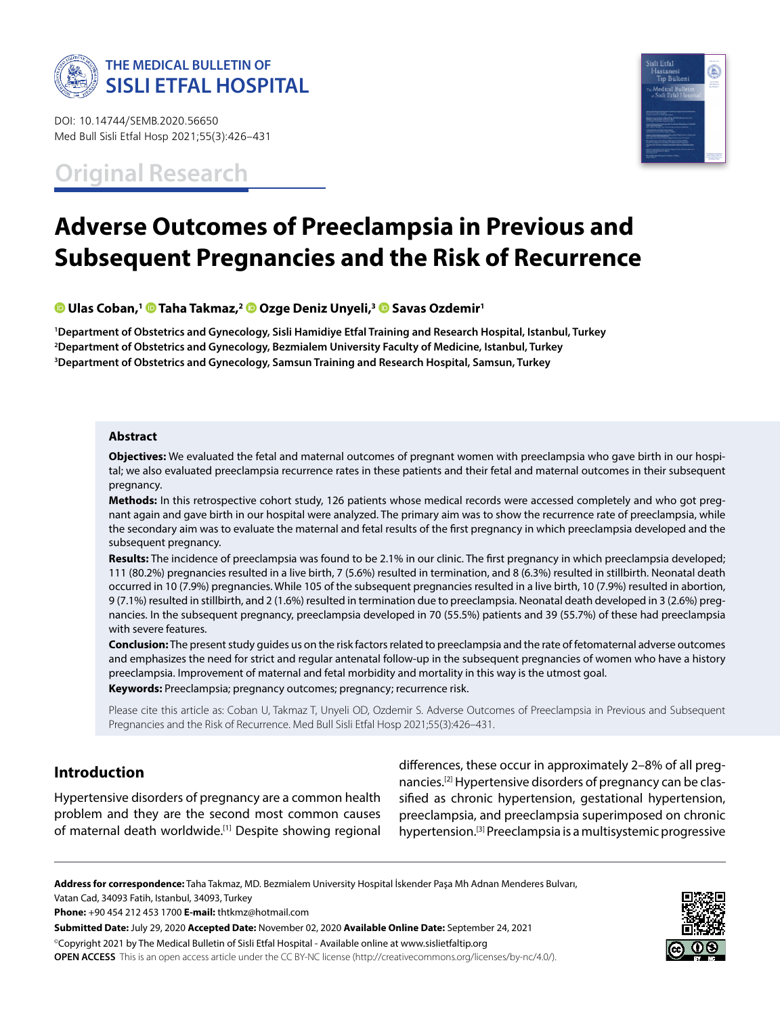

DOI: 10.14744/SEMB.2020.56650 Med Bull Sisli Etfal Hosp 2021;55(3):426–431

**Original Research**



# **Adverse Outcomes of Preeclampsia in Previous and Subsequent Pregnancies and the Risk of Recurrence**

**Ulas Coban,1 [T](https://orcid.org/0000-0003-0793-2348)aha Takmaz,2 [O](https://orcid.org/0000-0001-8507-2756)zge Deniz Unyeli,3Savas Ozdemir1**

**1 Department of Obstetrics and Gynecology, Sisli Hamidiye Etfal Training and Research Hospital, Istanbul, Turkey 2 Department of Obstetrics and Gynecology, Bezmialem University Faculty of Medicine, Istanbul, Turkey 3 Department of Obstetrics and Gynecology, Samsun Training and Research Hospital, Samsun, Turkey**

#### **Abstract**

**Objectives:** We evaluated the fetal and maternal outcomes of pregnant women with preeclampsia who gave birth in our hospital; we also evaluated preeclampsia recurrence rates in these patients and their fetal and maternal outcomes in their subsequent pregnancy.

**Methods:** In this retrospective cohort study, 126 patients whose medical records were accessed completely and who got pregnant again and gave birth in our hospital were analyzed. The primary aim was to show the recurrence rate of preeclampsia, while the secondary aim was to evaluate the maternal and fetal results of the first pregnancy in which preeclampsia developed and the subsequent pregnancy.

**Results:** The incidence of preeclampsia was found to be 2.1% in our clinic. The first pregnancy in which preeclampsia developed; 111 (80.2%) pregnancies resulted in a live birth, 7 (5.6%) resulted in termination, and 8 (6.3%) resulted in stillbirth. Neonatal death occurred in 10 (7.9%) pregnancies. While 105 of the subsequent pregnancies resulted in a live birth, 10 (7.9%) resulted in abortion, 9 (7.1%) resulted in stillbirth, and 2 (1.6%) resulted in termination due to preeclampsia. Neonatal death developed in 3 (2.6%) pregnancies. In the subsequent pregnancy, preeclampsia developed in 70 (55.5%) patients and 39 (55.7%) of these had preeclampsia with severe features.

**Conclusion:** The present study guides us on the risk factors related to preeclampsia and the rate of fetomaternal adverse outcomes and emphasizes the need for strict and regular antenatal follow-up in the subsequent pregnancies of women who have a history preeclampsia. Improvement of maternal and fetal morbidity and mortality in this way is the utmost goal.

**Keywords:** Preeclampsia; pregnancy outcomes; pregnancy; recurrence risk.

Please cite this article as: Coban U, Takmaz T, Unyeli OD, Ozdemir S. Adverse Outcomes of Preeclampsia in Previous and Subsequent Pregnancies and the Risk of Recurrence. Med Bull Sisli Etfal Hosp 2021;55(3):426–431.

# **Introduction**

Hypertensive disorders of pregnancy are a common health problem and they are the second most common causes of maternal death worldwide.<sup>[1]</sup> Despite showing regional differences, these occur in approximately 2–8% of all pregnancies.[2] Hypertensive disorders of pregnancy can be classified as chronic hypertension, gestational hypertension, preeclampsia, and preeclampsia superimposed on chronic hypertension.[3] Preeclampsia is a multisystemic progressive

**Address for correspondence:** Taha Takmaz, MD. Bezmialem University Hospital İskender Paşa Mh Adnan Menderes Bulvarı, Vatan Cad, 34093 Fatih, Istanbul, 34093, Turkey

**Phone:** +90 454 212 453 1700 **E-mail:** thtkmz@hotmail.com

**Submitted Date:** July 29, 2020 **Accepted Date:** November 02, 2020 **Available Online Date:** September 24, 2021 ©Copyright 2021 by The Medical Bulletin of Sisli Etfal Hospital - Available online at www.sislietfaltip.org **OPEN ACCESS** This is an open access article under the CC BY-NC license (http://creativecommons.org/licenses/by-nc/4.0/).

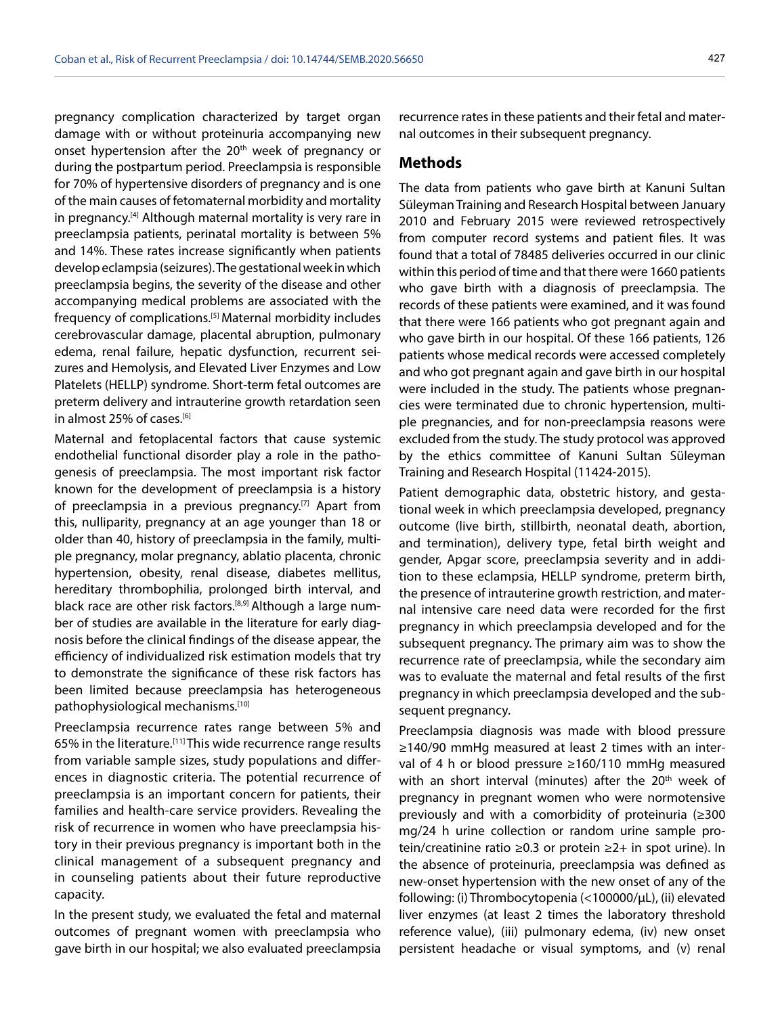pregnancy complication characterized by target organ damage with or without proteinuria accompanying new onset hypertension after the 20<sup>th</sup> week of pregnancy or during the postpartum period. Preeclampsia is responsible for 70% of hypertensive disorders of pregnancy and is one of the main causes of fetomaternal morbidity and mortality in pregnancy.[4] Although maternal mortality is very rare in preeclampsia patients, perinatal mortality is between 5% and 14%. These rates increase significantly when patients develop eclampsia (seizures). The gestational week in which preeclampsia begins, the severity of the disease and other accompanying medical problems are associated with the frequency of complications.<sup>[5]</sup> Maternal morbidity includes cerebrovascular damage, placental abruption, pulmonary edema, renal failure, hepatic dysfunction, recurrent seizures and Hemolysis, and Elevated Liver Enzymes and Low Platelets (HELLP) syndrome. Short-term fetal outcomes are preterm delivery and intrauterine growth retardation seen in almost 25% of cases.<sup>[6]</sup>

Maternal and fetoplacental factors that cause systemic endothelial functional disorder play a role in the pathogenesis of preeclampsia. The most important risk factor known for the development of preeclampsia is a history of preeclampsia in a previous pregnancy.<sup>[7]</sup> Apart from this, nulliparity, pregnancy at an age younger than 18 or older than 40, history of preeclampsia in the family, multiple pregnancy, molar pregnancy, ablatio placenta, chronic hypertension, obesity, renal disease, diabetes mellitus, hereditary thrombophilia, prolonged birth interval, and black race are other risk factors.<sup>[8,9]</sup> Although a large number of studies are available in the literature for early diagnosis before the clinical findings of the disease appear, the efficiency of individualized risk estimation models that try to demonstrate the significance of these risk factors has been limited because preeclampsia has heterogeneous pathophysiological mechanisms.[10]

Preeclampsia recurrence rates range between 5% and 65% in the literature.<sup>[11]</sup> This wide recurrence range results from variable sample sizes, study populations and differences in diagnostic criteria. The potential recurrence of preeclampsia is an important concern for patients, their families and health-care service providers. Revealing the risk of recurrence in women who have preeclampsia history in their previous pregnancy is important both in the clinical management of a subsequent pregnancy and in counseling patients about their future reproductive capacity.

In the present study, we evaluated the fetal and maternal outcomes of pregnant women with preeclampsia who gave birth in our hospital; we also evaluated preeclampsia

recurrence rates in these patients and their fetal and maternal outcomes in their subsequent pregnancy.

### **Methods**

The data from patients who gave birth at Kanuni Sultan Süleyman Training and Research Hospital between January 2010 and February 2015 were reviewed retrospectively from computer record systems and patient files. It was found that a total of 78485 deliveries occurred in our clinic within this period of time and that there were 1660 patients who gave birth with a diagnosis of preeclampsia. The records of these patients were examined, and it was found that there were 166 patients who got pregnant again and who gave birth in our hospital. Of these 166 patients, 126 patients whose medical records were accessed completely and who got pregnant again and gave birth in our hospital were included in the study. The patients whose pregnancies were terminated due to chronic hypertension, multiple pregnancies, and for non-preeclampsia reasons were excluded from the study. The study protocol was approved by the ethics committee of Kanuni Sultan Süleyman Training and Research Hospital (11424-2015).

Patient demographic data, obstetric history, and gestational week in which preeclampsia developed, pregnancy outcome (live birth, stillbirth, neonatal death, abortion, and termination), delivery type, fetal birth weight and gender, Apgar score, preeclampsia severity and in addition to these eclampsia, HELLP syndrome, preterm birth, the presence of intrauterine growth restriction, and maternal intensive care need data were recorded for the first pregnancy in which preeclampsia developed and for the subsequent pregnancy. The primary aim was to show the recurrence rate of preeclampsia, while the secondary aim was to evaluate the maternal and fetal results of the first pregnancy in which preeclampsia developed and the subsequent pregnancy.

Preeclampsia diagnosis was made with blood pressure ≥140/90 mmHg measured at least 2 times with an interval of 4 h or blood pressure ≥160/110 mmHg measured with an short interval (minutes) after the 20<sup>th</sup> week of pregnancy in pregnant women who were normotensive previously and with a comorbidity of proteinuria (≥300 mg/24 h urine collection or random urine sample protein/creatinine ratio ≥0.3 or protein ≥2+ in spot urine). In the absence of proteinuria, preeclampsia was defined as new-onset hypertension with the new onset of any of the following: (i) Thrombocytopenia (<100000/µL), (ii) elevated liver enzymes (at least 2 times the laboratory threshold reference value), (iii) pulmonary edema, (iv) new onset persistent headache or visual symptoms, and (v) renal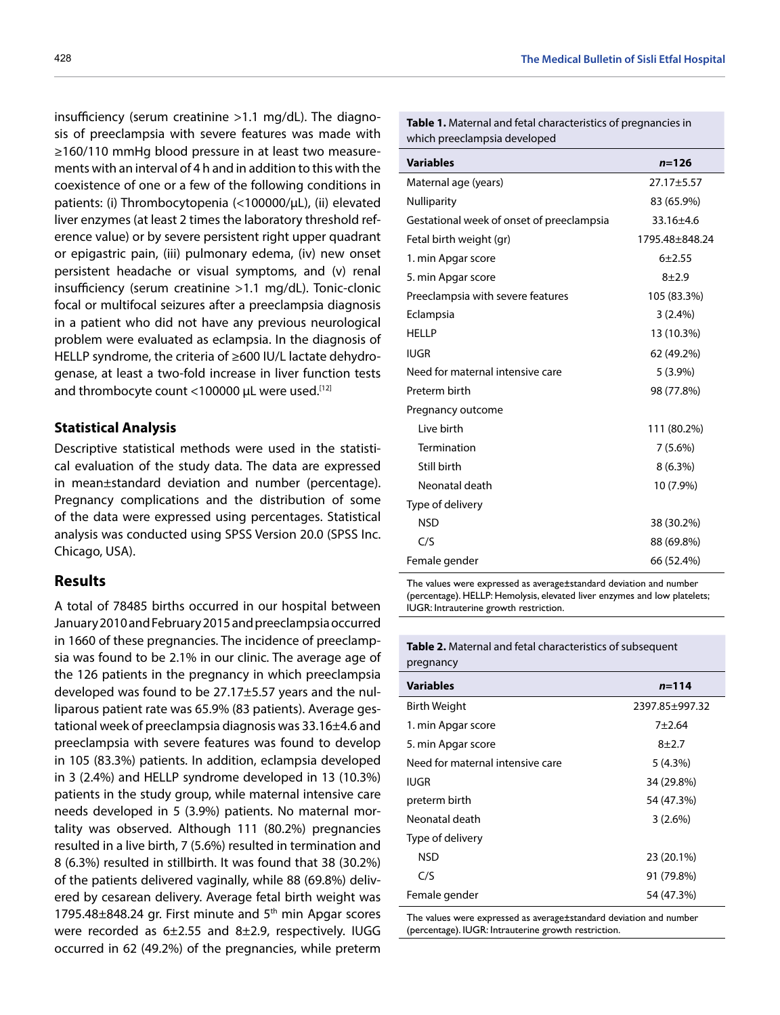insufficiency (serum creatinine >1.1 mg/dL). The diagnosis of preeclampsia with severe features was made with ≥160/110 mmHg blood pressure in at least two measurements with an interval of 4 h and in addition to this with the coexistence of one or a few of the following conditions in patients: (i) Thrombocytopenia (<100000/µL), (ii) elevated liver enzymes (at least 2 times the laboratory threshold reference value) or by severe persistent right upper quadrant or epigastric pain, (iii) pulmonary edema, (iv) new onset persistent headache or visual symptoms, and (v) renal insufficiency (serum creatinine >1.1 mg/dL). Tonic-clonic focal or multifocal seizures after a preeclampsia diagnosis in a patient who did not have any previous neurological problem were evaluated as eclampsia. In the diagnosis of HELLP syndrome, the criteria of ≥600 IU/L lactate dehydrogenase, at least a two-fold increase in liver function tests and thrombocyte count <100000  $\mu$ L were used.<sup>[12]</sup>

## **Statistical Analysis**

Descriptive statistical methods were used in the statistical evaluation of the study data. The data are expressed in mean±standard deviation and number (percentage). Pregnancy complications and the distribution of some of the data were expressed using percentages. Statistical analysis was conducted using SPSS Version 20.0 (SPSS Inc. Chicago, USA).

# **Results**

A total of 78485 births occurred in our hospital between January 2010 and February 2015 and preeclampsia occurred in 1660 of these pregnancies. The incidence of preeclampsia was found to be 2.1% in our clinic. The average age of the 126 patients in the pregnancy in which preeclampsia developed was found to be 27.17±5.57 years and the nulliparous patient rate was 65.9% (83 patients). Average gestational week of preeclampsia diagnosis was 33.16±4.6 and preeclampsia with severe features was found to develop in 105 (83.3%) patients. In addition, eclampsia developed in 3 (2.4%) and HELLP syndrome developed in 13 (10.3%) patients in the study group, while maternal intensive care needs developed in 5 (3.9%) patients. No maternal mortality was observed. Although 111 (80.2%) pregnancies resulted in a live birth, 7 (5.6%) resulted in termination and 8 (6.3%) resulted in stillbirth. It was found that 38 (30.2%) of the patients delivered vaginally, while 88 (69.8%) delivered by cesarean delivery. Average fetal birth weight was 1795.48±848.24 gr. First minute and 5<sup>th</sup> min Apgar scores were recorded as 6±2.55 and 8±2.9, respectively. IUGG occurred in 62 (49.2%) of the pregnancies, while preterm **Table 1.** Maternal and fetal characteristics of pregnancies in which preeclampsia developed

| <b>Variables</b>                          | $n = 126$      |
|-------------------------------------------|----------------|
| Maternal age (years)                      | 27.17±5.57     |
| <b>Nulliparity</b>                        | 83 (65.9%)     |
| Gestational week of onset of preeclampsia | 33.16±4.6      |
| Fetal birth weight (gr)                   | 1795.48±848.24 |
| 1. min Apgar score                        | $6 + 2.55$     |
| 5. min Apgar score                        | $8 + 2.9$      |
| Preeclampsia with severe features         | 105 (83.3%)    |
| Eclampsia                                 | 3(2.4%)        |
| <b>HELLP</b>                              | 13 (10.3%)     |
| <b>IUGR</b>                               | 62 (49.2%)     |
| Need for maternal intensive care          | $5(3.9\%)$     |
| Preterm birth                             | 98 (77.8%)     |
| Pregnancy outcome                         |                |
| Live birth                                | 111 (80.2%)    |
| Termination                               | $7(5.6\%)$     |
| Still birth                               | $8(6.3\%)$     |
| Neonatal death                            | 10 (7.9%)      |
| Type of delivery                          |                |
| <b>NSD</b>                                | 38 (30.2%)     |
| C/S                                       | 88 (69.8%)     |
| Female gender                             | 66 (52.4%)     |

The values were expressed as average±standard deviation and number (percentage). HELLP: Hemolysis, elevated liver enzymes and low platelets; IUGR: Intrauterine growth restriction.

| Table 2. Maternal and fetal characteristics of subsequent |  |
|-----------------------------------------------------------|--|
| pregnancy                                                 |  |
|                                                           |  |

| <b>Variables</b>                 | $n = 114$      |
|----------------------------------|----------------|
| Birth Weight                     | 2397.85±997.32 |
| 1. min Apgar score               | $7+2.64$       |
| 5. min Apgar score               | $8+2.7$        |
| Need for maternal intensive care | 5(4.3%)        |
| <b>IUGR</b>                      | 34 (29.8%)     |
| preterm birth                    | 54 (47.3%)     |
| Neonatal death                   | $3(2.6\%)$     |
| Type of delivery                 |                |
| <b>NSD</b>                       | 23 (20.1%)     |
| C/S                              | 91 (79.8%)     |
| Female gender                    | 54 (47.3%)     |

The values were expressed as average±standard deviation and number (percentage). IUGR: Intrauterine growth restriction.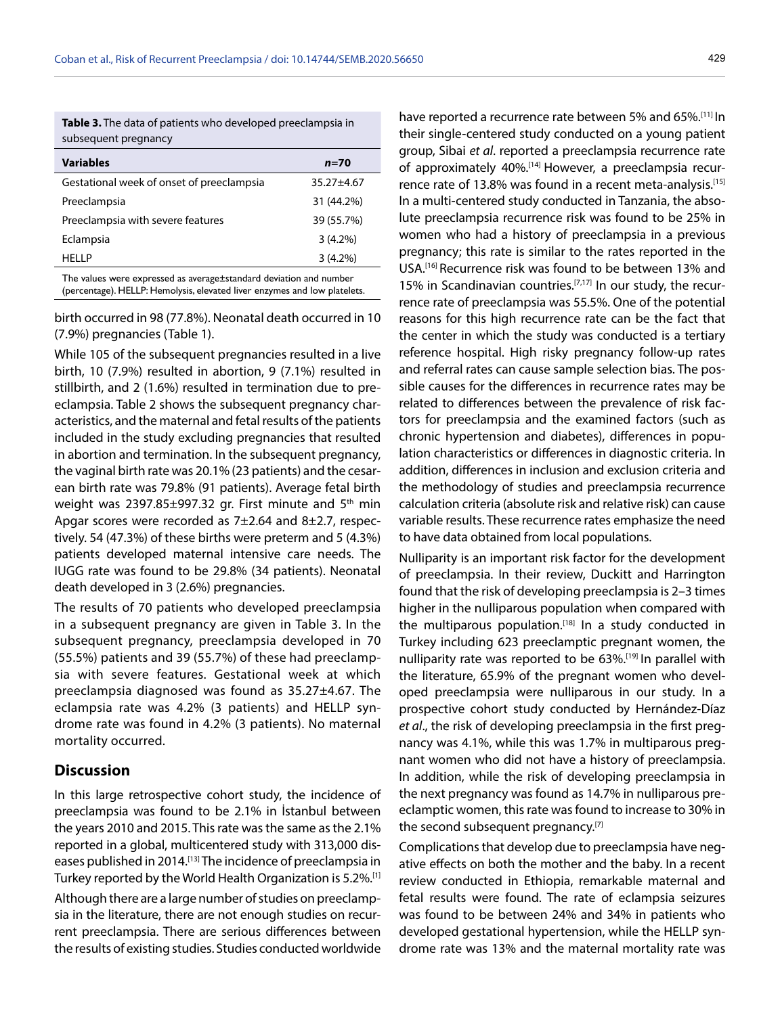**Table 3.** The data of patients who developed preeclampsia in subsequent pregnancy

| <b>Variables</b>                          | $n = 70$   |  |
|-------------------------------------------|------------|--|
| Gestational week of onset of preeclampsia | 35.27±4.67 |  |
| Preeclampsia                              | 31 (44.2%) |  |
| Preeclampsia with severe features         | 39 (55.7%) |  |
| Eclampsia                                 | $3(4.2\%)$ |  |
| <b>HELLP</b>                              | $3(4.2\%)$ |  |
|                                           |            |  |

The values were expressed as average±standard deviation and number (percentage). HELLP: Hemolysis, elevated liver enzymes and low platelets.

birth occurred in 98 (77.8%). Neonatal death occurred in 10 (7.9%) pregnancies (Table 1).

While 105 of the subsequent pregnancies resulted in a live birth, 10 (7.9%) resulted in abortion, 9 (7.1%) resulted in stillbirth, and 2 (1.6%) resulted in termination due to preeclampsia. Table 2 shows the subsequent pregnancy characteristics, and the maternal and fetal results of the patients included in the study excluding pregnancies that resulted in abortion and termination. In the subsequent pregnancy, the vaginal birth rate was 20.1% (23 patients) and the cesarean birth rate was 79.8% (91 patients). Average fetal birth weight was  $2397.85\pm997.32$  gr. First minute and  $5<sup>th</sup>$  min Apgar scores were recorded as 7±2.64 and 8±2.7, respectively. 54 (47.3%) of these births were preterm and 5 (4.3%) patients developed maternal intensive care needs. The IUGG rate was found to be 29.8% (34 patients). Neonatal death developed in 3 (2.6%) pregnancies.

The results of 70 patients who developed preeclampsia in a subsequent pregnancy are given in Table 3. In the subsequent pregnancy, preeclampsia developed in 70 (55.5%) patients and 39 (55.7%) of these had preeclampsia with severe features. Gestational week at which preeclampsia diagnosed was found as 35.27±4.67. The eclampsia rate was 4.2% (3 patients) and HELLP syndrome rate was found in 4.2% (3 patients). No maternal mortality occurred.

# **Discussion**

In this large retrospective cohort study, the incidence of preeclampsia was found to be 2.1% in İstanbul between the years 2010 and 2015. This rate was the same as the 2.1% reported in a global, multicentered study with 313,000 diseases published in 2014.[13] The incidence of preeclampsia in Turkey reported by the World Health Organization is 5.2%.<sup>[1]</sup>

Although there are a large number of studies on preeclampsia in the literature, there are not enough studies on recurrent preeclampsia. There are serious differences between the results of existing studies. Studies conducted worldwide have reported a recurrence rate between 5% and 65%.[11] In their single-centered study conducted on a young patient group, Sibai *et al*. reported a preeclampsia recurrence rate of approximately 40%.[14] However, a preeclampsia recurrence rate of 13.8% was found in a recent meta-analysis.<sup>[15]</sup> In a multi-centered study conducted in Tanzania, the absolute preeclampsia recurrence risk was found to be 25% in women who had a history of preeclampsia in a previous pregnancy; this rate is similar to the rates reported in the USA.[16] Recurrence risk was found to be between 13% and 15% in Scandinavian countries.<sup>[7,17]</sup> In our study, the recurrence rate of preeclampsia was 55.5%. One of the potential reasons for this high recurrence rate can be the fact that the center in which the study was conducted is a tertiary reference hospital. High risky pregnancy follow-up rates and referral rates can cause sample selection bias. The possible causes for the differences in recurrence rates may be related to differences between the prevalence of risk factors for preeclampsia and the examined factors (such as chronic hypertension and diabetes), differences in population characteristics or differences in diagnostic criteria. In addition, differences in inclusion and exclusion criteria and the methodology of studies and preeclampsia recurrence calculation criteria (absolute risk and relative risk) can cause variable results. These recurrence rates emphasize the need to have data obtained from local populations.

Nulliparity is an important risk factor for the development of preeclampsia. In their review, Duckitt and Harrington found that the risk of developing preeclampsia is 2–3 times higher in the nulliparous population when compared with the multiparous population.<sup>[18]</sup> In a study conducted in Turkey including 623 preeclamptic pregnant women, the nulliparity rate was reported to be 63%.<sup>[19]</sup> In parallel with the literature, 65.9% of the pregnant women who developed preeclampsia were nulliparous in our study. In a prospective cohort study conducted by Hernández-Díaz *et al*., the risk of developing preeclampsia in the first pregnancy was 4.1%, while this was 1.7% in multiparous pregnant women who did not have a history of preeclampsia. In addition, while the risk of developing preeclampsia in the next pregnancy was found as 14.7% in nulliparous preeclamptic women, this rate was found to increase to 30% in the second subsequent pregnancy.[7]

Complications that develop due to preeclampsia have negative effects on both the mother and the baby. In a recent review conducted in Ethiopia, remarkable maternal and fetal results were found. The rate of eclampsia seizures was found to be between 24% and 34% in patients who developed gestational hypertension, while the HELLP syndrome rate was 13% and the maternal mortality rate was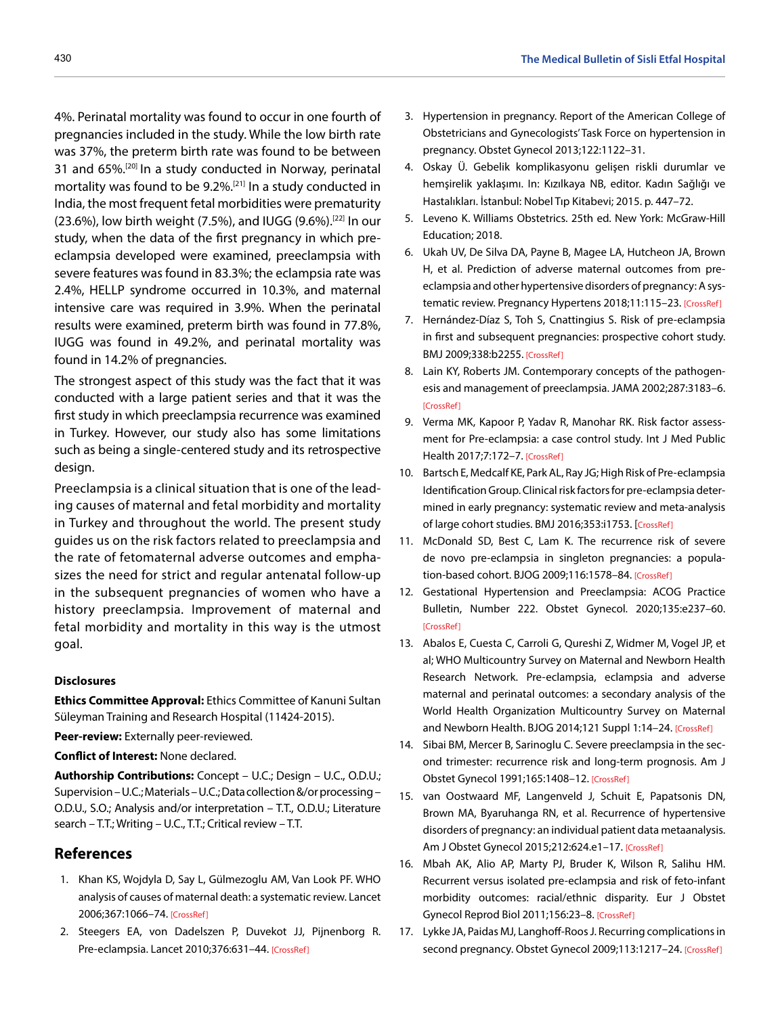4%. Perinatal mortality was found to occur in one fourth of pregnancies included in the study. While the low birth rate was 37%, the preterm birth rate was found to be between 31 and 65%.[20] In a study conducted in Norway, perinatal mortality was found to be 9.2%.[21] In a study conducted in India, the most frequent fetal morbidities were prematurity  $(23.6%)$ , low birth weight (7.5%), and IUGG (9.6%).<sup>[22]</sup> In our study, when the data of the first pregnancy in which preeclampsia developed were examined, preeclampsia with severe features was found in 83.3%; the eclampsia rate was 2.4%, HELLP syndrome occurred in 10.3%, and maternal intensive care was required in 3.9%. When the perinatal results were examined, preterm birth was found in 77.8%, IUGG was found in 49.2%, and perinatal mortality was found in 14.2% of pregnancies.

The strongest aspect of this study was the fact that it was conducted with a large patient series and that it was the first study in which preeclampsia recurrence was examined in Turkey. However, our study also has some limitations such as being a single-centered study and its retrospective design.

Preeclampsia is a clinical situation that is one of the leading causes of maternal and fetal morbidity and mortality in Turkey and throughout the world. The present study guides us on the risk factors related to preeclampsia and the rate of fetomaternal adverse outcomes and emphasizes the need for strict and regular antenatal follow-up in the subsequent pregnancies of women who have a history preeclampsia. Improvement of maternal and fetal morbidity and mortality in this way is the utmost goal.

#### **Disclosures**

**Ethics Committee Approval:** Ethics Committee of Kanuni Sultan Süleyman Training and Research Hospital (11424-2015).

**Peer-review:** Externally peer-reviewed.

**Conflict of Interest:** None declared.

**Authorship Contributions:** Concept – U.C.; Design – U.C., O.D.U.; Supervision – U.C.; Materials – U.C.; Data collection &/or processing – O.D.U., S.O.; Analysis and/or interpretation – T.T., O.D.U.; Literature search – T.T.; Writing – U.C., T.T.; Critical review – T.T.

# **References**

- 1. Khan KS, Wojdyla D, Say L, Gülmezoglu AM, Van Look PF. WHO analysis of causes of maternal death: a systematic review. Lancet 2006;367:1066[–74. \[CrossRef\]](https://doi.org/10.1016/S0140-6736(06)68397-9)
- 2. Steegers EA, von Dadelszen P, Duvekot JJ, Pijnenborg R. Pre-eclampsia. Lancet 2010;376:631-4[4. \[CrossRef\]](https://doi.org/10.1016/S0140-6736(10)60279-6)
- 3. Hypertension in pregnancy. Report of the American College of Obstetricians and Gynecologists' Task Force on hypertension in pregnancy. Obstet Gynecol 2013;122:1122–31.
- 4. Oskay Ü. Gebelik komplikasyonu gelişen riskli durumlar ve hemşirelik yaklaşımı. In: Kızılkaya NB, editor. Kadın Sağlığı ve Hastalıkları. İstanbul: Nobel Tıp Kitabevi; 2015. p. 447–72.
- 5. Leveno K. Williams Obstetrics. 25th ed. New York: McGraw-Hill Education; 2018.
- 6. Ukah UV, De Silva DA, Payne B, Magee LA, Hutcheon JA, Brown H, et al. Prediction of adverse maternal outcomes from preeclampsia and other hypertensive disorders of pregnancy: A sys-tematic review. Pregnancy Hypertens 2018;11:115-[23. \[CrossRef\]](https://doi.org/10.1016/j.preghy.2017.11.006)
- 7. Hernández-Díaz S, Toh S, Cnattingius S. Risk of pre-eclampsia in first and subsequent pregnancies: prospective cohort study. BMJ 2009;338:b225[5. \[CrossRef\]](https://doi.org/10.1136/bmj.b2255)
- 8. Lain KY, Roberts JM. Contemporary concepts of the pathogenesis and management of preeclampsia. JAMA 2002;287:3183–6. [\[CrossRef\]](https://doi.org/10.1001/jama.287.24.3183)
- 9. Verma MK, Kapoor P, Yadav R, Manohar RK. Risk factor assessment for Pre-eclampsia: a case control study. Int J Med Public Health 2017;7:1[72–7. \[CrossRef\]](https://doi.org/10.5530/ijmedph.2017.3.35)
- 10. Bartsch E, Medcalf KE, Park AL, Ray JG; High Risk of Pre-eclampsia Identification Group. Clinical risk factors for pre-eclampsia determined in early pregnancy: systematic review and meta-analysis of large cohort studies. BMJ 2016;353:i175[3. \[CrossRef\]](https://doi.org/10.1136/bmj.i1753)
- 11. McDonald SD, Best C, Lam K. The recurrence risk of severe de novo pre-eclampsia in singleton pregnancies: a population-based cohort. BJOG 2009;116:1578–8[4. \[CrossRef\]](https://doi.org/10.1111/j.1471-0528.2009.02317.x)
- 12. Gestational Hypertension and Preeclampsia: ACOG Practice Bulletin, Number 222. Obstet Gynecol. 2020;135:e237–60. [\[CrossRef\]](https://doi.org/10.1097/AOG.0000000000003891)
- 13. Abalos E, Cuesta C, Carroli G, Qureshi Z, Widmer M, Vogel JP, et al; WHO Multicountry Survey on Maternal and Newborn Health Research Network. Pre-eclampsia, eclampsia and adverse maternal and perinatal outcomes: a secondary analysis of the World Health Organization Multicountry Survey on Maternal and Newborn Health. BJOG 2014;121 Suppl 1:14-2[4. \[CrossRef\]](https://doi.org/10.1111/1471-0528.12629)
- 14. Sibai BM, Mercer B, Sarinoglu C. Severe preeclampsia in the second trimester: recurrence risk and long-term prognosis. Am J Obstet Gynecol 1991;165:1408–1[2. \[CrossRef\]](https://doi.org/10.1016/S0002-9378(12)90773-5)
- 15. van Oostwaard MF, Langenveld J, Schuit E, Papatsonis DN, Brown MA, Byaruhanga RN, et al. Recurrence of hypertensive disorders of pregnancy: an individual patient data metaanalysis. Am J Obstet Gynecol 2015;212:624.e1–17. [\[CrossRef\]](https://doi.org/10.1016/j.ajog.2015.01.009)
- 16. Mbah AK, Alio AP, Marty PJ, Bruder K, Wilson R, Salihu HM. Recurrent versus isolated pre-eclampsia and risk of feto-infant morbidity outcomes: racial/ethnic disparity. Eur J Obstet Gynecol Reprod Biol 2011;156:2[3–8. \[CrossRef\]](https://doi.org/10.1016/j.ejogrb.2010.12.036)
- 17. Lykke JA, Paidas MJ, Langhoff-Roos J. Recurring complications in second pregnancy. Obstet Gynecol 2009;113:1217-[24. \[CrossRef\]](https://doi.org/10.1097/AOG.0b013e3181a66f2d)